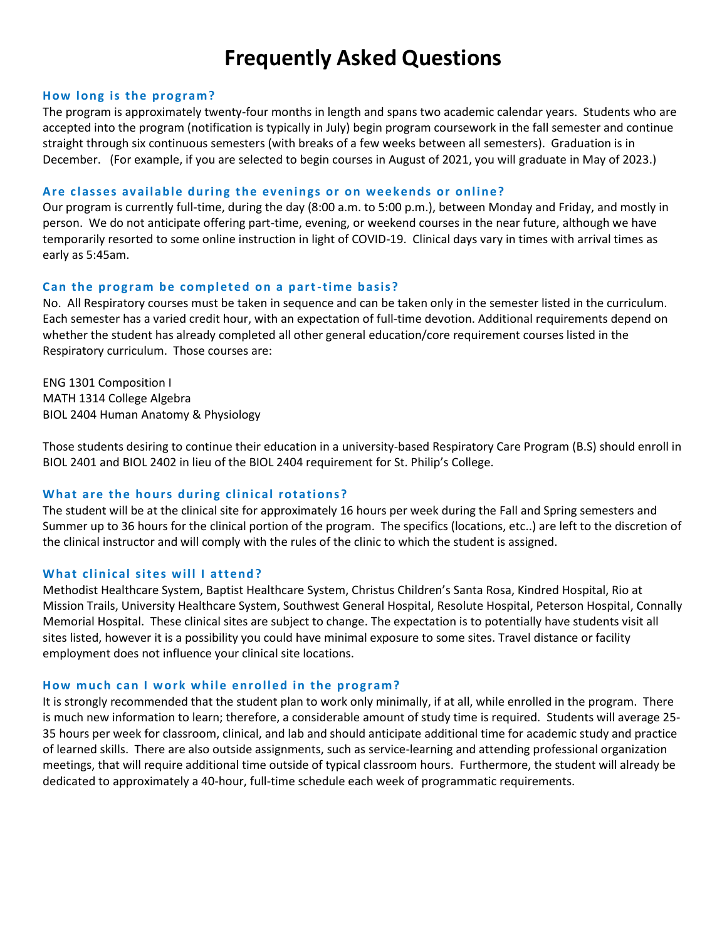# **Frequently Asked Questions**

#### **How long is the program?**

The program is approximately twenty-four months in length and spans two academic calendar years. Students who are accepted into the program (notification is typically in July) begin program coursework in the fall semester and continue straight through six continuous semesters (with breaks of a few weeks between all semesters). Graduation is in December. (For example, if you are selected to begin courses in August of 2021, you will graduate in May of 2023.)

#### **Are c lasses av ailable during the ev enings or on w eekends or online?**

Our program is currently full-time, during the day (8:00 a.m. to 5:00 p.m.), between Monday and Friday, and mostly in person. We do not anticipate offering part-time, evening, or weekend courses in the near future, although we have temporarily resorted to some online instruction in light of COVID-19. Clinical days vary in times with arrival times as early as 5:45am.

#### **Can the program be completed on a part-time basis?**

No. All Respiratory courses must be taken in sequence and can be taken only in the semester listed in the curriculum. Each semester has a varied credit hour, with an expectation of full-time devotion. Additional requirements depend on whether the student has already completed all other general education/core requirement courses listed in the Respiratory curriculum. Those courses are:

ENG 1301 Composition I MATH 1314 College Algebra BIOL 2404 Human Anatomy & Physiology

Those students desiring to continue their education in a university-based Respiratory Care Program (B.S) should enroll in BIOL 2401 and BIOL 2402 in lieu of the BIOL 2404 requirement for St. Philip's College.

#### **What are the hours during clinical rotations?**

The student will be at the clinical site for approximately 16 hours per week during the Fall and Spring semesters and Summer up to 36 hours for the clinical portion of the program. The specifics (locations, etc..) are left to the discretion of the clinical instructor and will comply with the rules of the clinic to which the student is assigned.

#### What clinical sites will I attend?

Methodist Healthcare System, Baptist Healthcare System, Christus Children's Santa Rosa, Kindred Hospital, Rio at Mission Trails, University Healthcare System, Southwest General Hospital, Resolute Hospital, Peterson Hospital, Connally Memorial Hospital. These clinical sites are subject to change. The expectation is to potentially have students visit all sites listed, however it is a possibility you could have minimal exposure to some sites. Travel distance or facility employment does not influence your clinical site locations.

#### How much can I work while enrolled in the program?

It is strongly recommended that the student plan to work only minimally, if at all, while enrolled in the program. There is much new information to learn; therefore, a considerable amount of study time is required. Students will average 25- 35 hours per week for classroom, clinical, and lab and should anticipate additional time for academic study and practice of learned skills. There are also outside assignments, such as service-learning and attending professional organization meetings, that will require additional time outside of typical classroom hours. Furthermore, the student will already be dedicated to approximately a 40-hour, full-time schedule each week of programmatic requirements.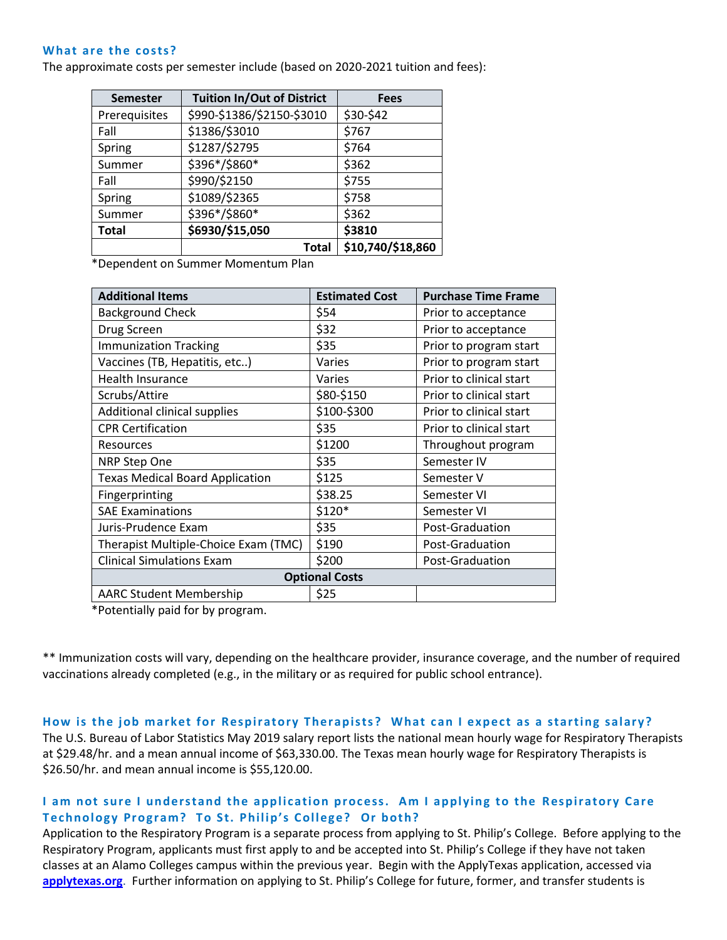#### What are the costs?

The approximate costs per semester include (based on 2020-2021 tuition and fees):

| <b>Semester</b> | <b>Tuition In/Out of District</b> | <b>Fees</b>       |
|-----------------|-----------------------------------|-------------------|
| Prerequisites   | \$990-\$1386/\$2150-\$3010        | \$30-\$42         |
| Fall            | \$1386/\$3010                     | \$767             |
| Spring          | \$1287/\$2795                     | \$764             |
| Summer          | \$396*/\$860*                     | \$362             |
| Fall            | \$990/\$2150                      | \$755             |
| Spring          | \$1089/\$2365                     | \$758             |
| Summer          | \$396*/\$860*                     | \$362             |
| <b>Total</b>    | \$6930/\$15,050                   | \$3810            |
|                 | Total                             | \$10,740/\$18,860 |

\*Dependent on Summer Momentum Plan

| <b>Additional Items</b>                | <b>Estimated Cost</b> | <b>Purchase Time Frame</b> |
|----------------------------------------|-----------------------|----------------------------|
| <b>Background Check</b>                | \$54                  | Prior to acceptance        |
| Drug Screen                            | \$32                  | Prior to acceptance        |
| <b>Immunization Tracking</b>           | \$35                  | Prior to program start     |
| Vaccines (TB, Hepatitis, etc)          | Varies                | Prior to program start     |
| <b>Health Insurance</b>                | Varies                | Prior to clinical start    |
| Scrubs/Attire                          | \$80-\$150            | Prior to clinical start    |
| Additional clinical supplies           | \$100-\$300           | Prior to clinical start    |
| <b>CPR Certification</b>               | \$35                  | Prior to clinical start    |
| <b>Resources</b>                       | \$1200                | Throughout program         |
| <b>NRP Step One</b>                    | \$35                  | Semester IV                |
| <b>Texas Medical Board Application</b> | \$125                 | Semester V                 |
| Fingerprinting                         | \$38.25               | Semester VI                |
| <b>SAE Examinations</b>                | \$120*                | Semester VI                |
| Juris-Prudence Exam                    | \$35                  | Post-Graduation            |
| Therapist Multiple-Choice Exam (TMC)   | \$190                 | Post-Graduation            |
| <b>Clinical Simulations Exam</b>       | \$200                 | Post-Graduation            |
|                                        | <b>Optional Costs</b> |                            |
| <b>AARC Student Membership</b>         | \$25                  |                            |

\*Potentially paid for by program.

\*\* Immunization costs will vary, depending on the healthcare provider, insurance coverage, and the number of required vaccinations already completed (e.g., in the military or as required for public school entrance).

#### How is the job market for Respiratory Therapists? What can I expect as a starting salary?

The U.S. Bureau of Labor Statistics May 2019 salary report lists the national mean hourly wage for Respiratory Therapists at \$29.48/hr. and a mean annual income of \$63,330.00. The Texas mean hourly wage for Respiratory Therapists is \$26.50/hr. and mean annual income is \$55,120.00.

# I am not sure I understand the application process. Am I applying to the Respiratory Care **Technology Program? To St. Philip's College? Or both?**

Application to the Respiratory Program is a separate process from applying to St. Philip's College. Before applying to the Respiratory Program, applicants must first apply to and be accepted into St. Philip's College if they have not taken classes at an Alamo Colleges campus within the previous year. Begin with the ApplyTexas application, accessed via **[applytexas.org](https://www.applytexas.org/adappc/gen/c_start.WBX)**. Further information on applying to St. Philip's College for future, former, and transfer students is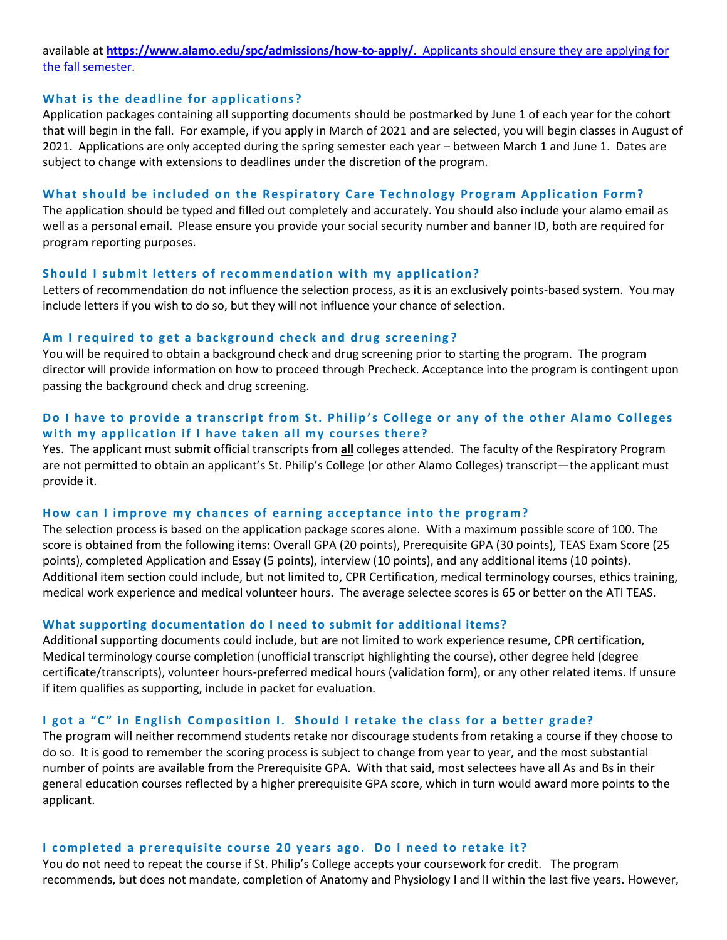available at **<https://www.alamo.edu/spc/admissions/how-to-apply/>**. Applicants should ensure they are applying for the fall semester.

#### **What is the deadline for applications?**

Application packages containing all supporting documents should be postmarked by June 1 of each year for the cohort that will begin in the fall. For example, if you apply in March of 2021 and are selected, you will begin classes in August of 2021. Applications are only accepted during the spring semester each year – between March 1 and June 1. Dates are subject to change with extensions to deadlines under the discretion of the program.

#### What should be included on the Respiratory Care Technology Program Application Form?

The application should be typed and filled out completely and accurately. You should also include your alamo email as well as a personal email. Please ensure you provide your social security number and banner ID, both are required for program reporting purposes.

#### **Should I submit letters of recommendation with my application?**

Letters of recommendation do not influence the selection process, as it is an exclusively points-based system. You may include letters if you wish to do so, but they will not influence your chance of selection.

#### Am I required to get a background check and drug screening?

You will be required to obtain a background check and drug screening prior to starting the program. The program director will provide information on how to proceed through Precheck. Acceptance into the program is contingent upon passing the background check and drug screening.

# Do I have to provide a transcript from St. Philip's College or any of the other Alamo Colleges with my application if I have taken all my courses there?

Yes. The applicant must submit official transcripts from **all** colleges attended. The faculty of the Respiratory Program are not permitted to obtain an applicant's St. Philip's College (or other Alamo Colleges) transcript—the applicant must provide it.

#### How can I improve my chances of earning acceptance into the program?

The selection process is based on the application package scores alone. With a maximum possible score of 100. The score is obtained from the following items: Overall GPA (20 points), Prerequisite GPA (30 points), TEAS Exam Score (25 points), completed Application and Essay (5 points), interview (10 points), and any additional items (10 points). Additional item section could include, but not limited to, CPR Certification, medical terminology courses, ethics training, medical work experience and medical volunteer hours. The average selectee scores is 65 or better on the ATI TEAS.

#### **What supporting documentation do I need to submit for additional items?**

Additional supporting documents could include, but are not limited to work experience resume, CPR certification, Medical terminology course completion (unofficial transcript highlighting the course), other degree held (degree certificate/transcripts), volunteer hours-preferred medical hours (validation form), or any other related items. If unsure if item qualifies as supporting, include in packet for evaluation.

#### **I got a "C" in English Composition I. S hould I retake the class for a better grade?**

The program will neither recommend students retake nor discourage students from retaking a course if they choose to do so. It is good to remember the scoring process is subject to change from year to year, and the most substantial number of points are available from the Prerequisite GPA. With that said, most selectees have all As and Bs in their general education courses reflected by a higher prerequisite GPA score, which in turn would award more points to the applicant.

#### **I c ompleted a prerequisite c ourse 20 years ago. Do I need to retake it?**

You do not need to repeat the course if St. Philip's College accepts your coursework for credit. The program recommends, but does not mandate, completion of Anatomy and Physiology I and II within the last five years. However,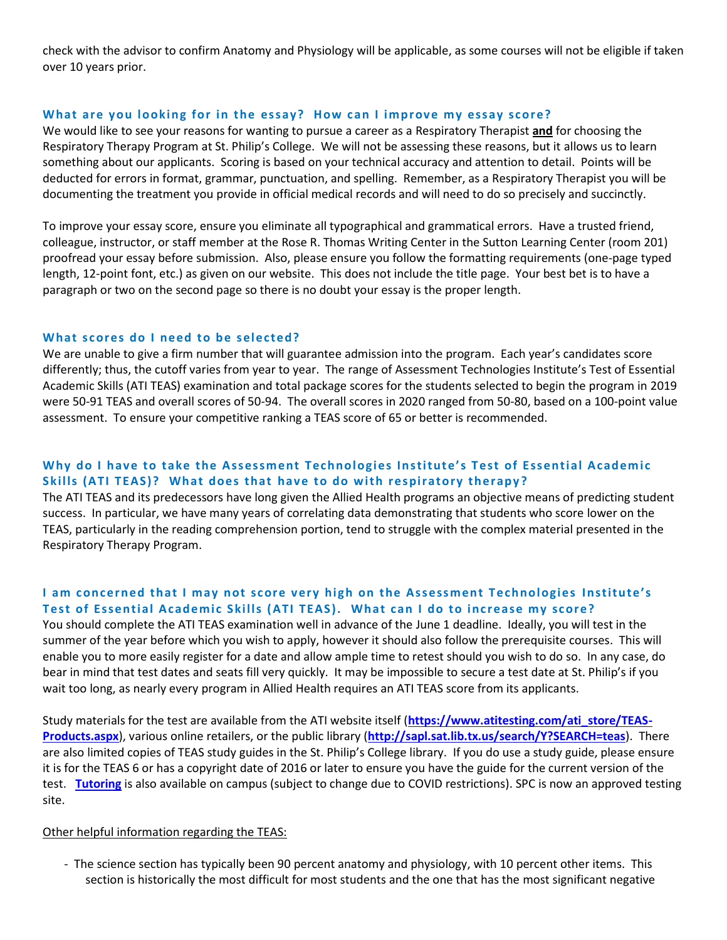check with the advisor to confirm Anatomy and Physiology will be applicable, as some courses will not be eligible if taken over 10 years prior.

#### What are you looking for in the essay? How can I improve my essay score?

We would like to see your reasons for wanting to pursue a career as a Respiratory Therapist **and** for choosing the Respiratory Therapy Program at St. Philip's College. We will not be assessing these reasons, but it allows us to learn something about our applicants. Scoring is based on your technical accuracy and attention to detail. Points will be deducted for errors in format, grammar, punctuation, and spelling. Remember, as a Respiratory Therapist you will be documenting the treatment you provide in official medical records and will need to do so precisely and succinctly.

To improve your essay score, ensure you eliminate all typographical and grammatical errors. Have a trusted friend, colleague, instructor, or staff member at the Rose R. Thomas Writing Center in the Sutton Learning Center (room 201) proofread your essay before submission. Also, please ensure you follow the formatting requirements (one-page typed length, 12-point font, etc.) as given on our website. This does not include the title page. Your best bet is to have a paragraph or two on the second page so there is no doubt your essay is the proper length.

### What scores do I need to be selected?

We are unable to give a firm number that will guarantee admission into the program. Each year's candidates score differently; thus, the cutoff varies from year to year. The range of Assessment Technologies Institute's Test of Essential Academic Skills (ATI TEAS) examination and total package scores for the students selected to begin the program in 2019 were 50-91 TEAS and overall scores of 50-94. The overall scores in 2020 ranged from 50-80, based on a 100-point value assessment. To ensure your competitive ranking a TEAS score of 65 or better is recommended.

# Why do I have to take the Assessment Technologies Institute's Test of Essential Academic **Skills (ATI TEAS)?** What does that have to do with respiratory therapy?

The ATI TEAS and its predecessors have long given the Allied Health programs an objective means of predicting student success. In particular, we have many years of correlating data demonstrating that students who score lower on the TEAS, particularly in the reading comprehension portion, tend to struggle with the complex material presented in the Respiratory Therapy Program.

# **I am concerned that I may not score very high on the Assessment Technologies Institute's** Test of Essential Academic Skills (ATI TEAS). What can I do to increase my score?

You should complete the ATI TEAS examination well in advance of the June 1 deadline. Ideally, you will test in the summer of the year before which you wish to apply, however it should also follow the prerequisite courses. This will enable you to more easily register for a date and allow ample time to retest should you wish to do so. In any case, do bear in mind that test dates and seats fill very quickly. It may be impossible to secure a test date at St. Philip's if you wait too long, as nearly every program in Allied Health requires an ATI TEAS score from its applicants.

Study materials for the test are available from the ATI website itself (**[https://www.atitesting.com/ati\\_store/TEAS-](https://www.atitesting.com/ati_store/TEAS-Products.aspx)[Products.aspx](https://www.atitesting.com/ati_store/TEAS-Products.aspx)**), various online retailers, or the public library (**<http://sapl.sat.lib.tx.us/search/Y?SEARCH=teas>**). There are also limited copies of TEAS study guides in the St. Philip's College library. If you do use a study guide, please ensure it is for the TEAS 6 or has a copyright date of 2016 or later to ensure you have the guide for the current version of the test. **[Tutoring](https://www.alamo.edu/spc/academics/academic-resources/tutoring-centers/tutoring-and-technology-center/)** is also available on campus (subject to change due to COVID restrictions). SPC is now an approved testing site.

#### Other helpful information regarding the TEAS:

- The science section has typically been 90 percent anatomy and physiology, with 10 percent other items. This section is historically the most difficult for most students and the one that has the most significant negative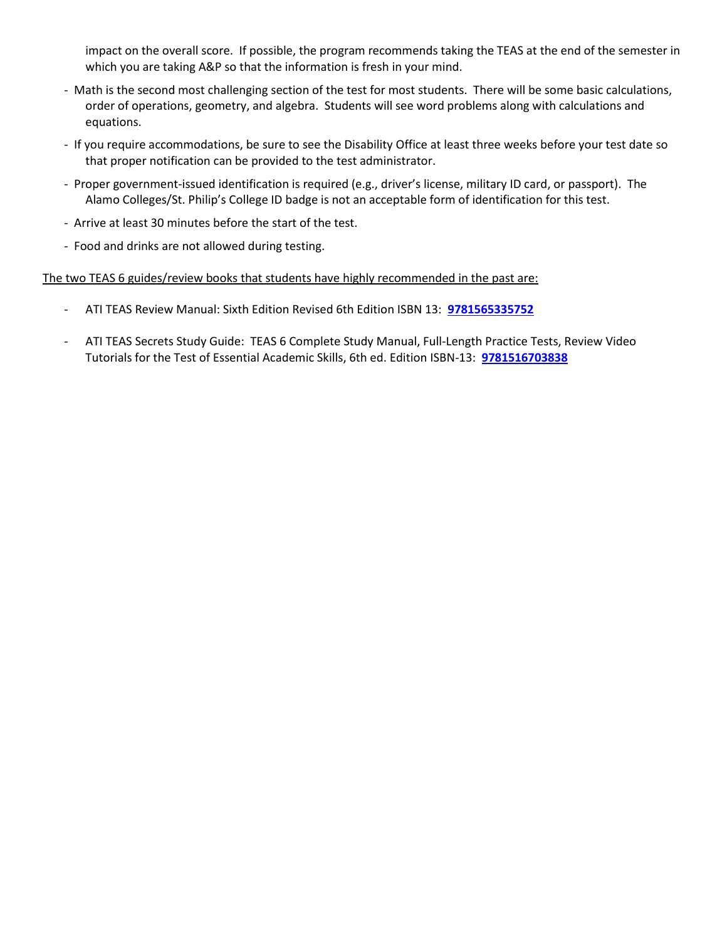impact on the overall score. If possible, the program recommends taking the TEAS at the end of the semester in which you are taking A&P so that the information is fresh in your mind.

- Math is the second most challenging section of the test for most students. There will be some basic calculations, order of operations, geometry, and algebra. Students will see word problems along with calculations and equations.
- If you require accommodations, be sure to see the Disability Office at least three weeks before your test date so that proper notification can be provided to the test administrator.
- Proper government-issued identification is required (e.g., driver's license, military ID card, or passport). The Alamo Colleges/St. Philip's College ID badge is not an acceptable form of identification for this test.
- Arrive at least 30 minutes before the start of the test.
- Food and drinks are not allowed during testing.

The two TEAS 6 guides/review books that students have highly recommended in the past are:

- ATI TEAS Review Manual: Sixth Edition Revised 6th Edition ISBN 13: **[9781565335752](https://amzn.to/3mTAMmL)**
- ATI TEAS Secrets Study Guide: TEAS 6 Complete Study Manual, Full-Length Practice Tests, Review Video Tutorials for the Test of Essential Academic Skills, 6th ed. Edition ISBN-13: **[9781516703838](https://amzn.to/3iaMs0V)**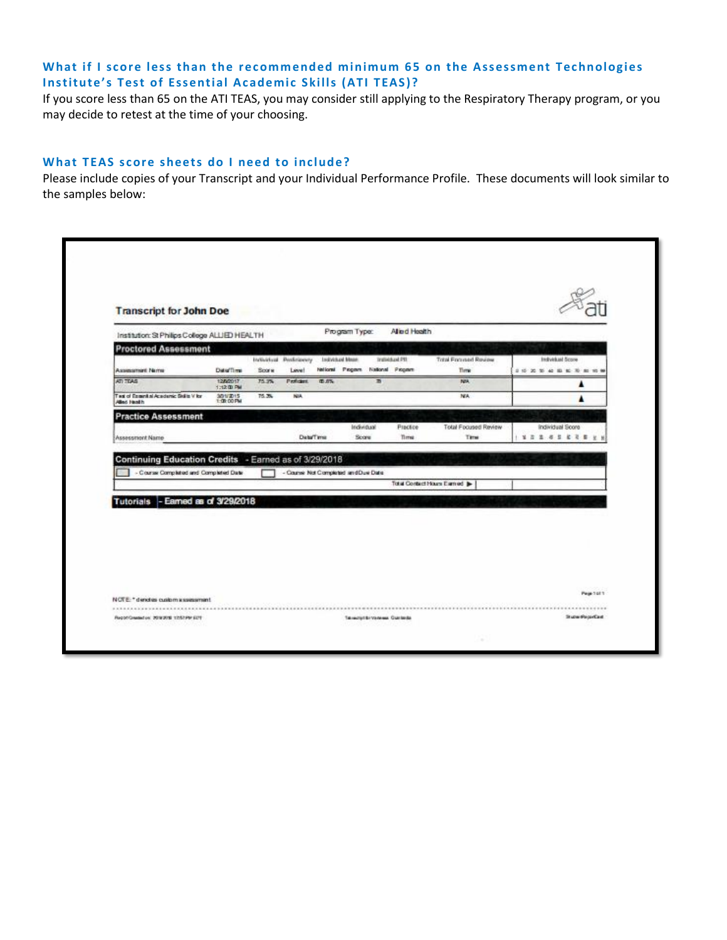# What if I score less than the recommended minimum 65 on the Assessment Technologies **Institute's Test of Essential Academic Skills (ATI TEAS)?**

If you score less than 65 on the ATI TEAS, you may consider still applying to the Respiratory Therapy program, or you may decide to retest at the time of your choosing.

## What TEAS score sheets do I need to include?

Please include copies of your Transcript and your Individual Performance Profile. These documents will look similar to the samples below:

| Program Type:<br>Alled Health<br>Institution: St Philips College ALLIED HEALTH<br><b>Proctored Assessment</b><br>Indykkaid Score<br>Individual Mean<br>Individual PII<br>Total Focused Rowser<br>Individual Pedelstowny<br>Neticmal Program National Program<br>Date/Time<br>Assessment Norre<br>Score<br>Time<br>Level<br><b>102500000000</b><br>ATI TEAS<br>1280017<br>75.3%<br><b>第 新%</b><br>Proficient.<br>面<br>NM.<br>▲<br>1:12 (D) PM<br>Test of Essential Academic Skills V for<br>NA<br>75.3%<br>NA.<br>301/2015<br>1:00:00 PM<br><b>Allen Head h</b><br><b>Practice Assessment</b><br>Individual<br>Practice<br>Total Focused Review<br>Individual Score<br><b>Data/Time</b><br>Time<br>Score<br>Time<br>1 8 3 8 4 5 6 7 8 9 9<br>Assessment Name<br>Continuing Education Credits - Earned as of 3/29/2018<br>- Course Completed and Completed Date<br>- Counse Not Completed and Due Date<br>Total Contact Hours Earned | <b>Transcript for John Doe</b> |  |  |  |  |  |
|------------------------------------------------------------------------------------------------------------------------------------------------------------------------------------------------------------------------------------------------------------------------------------------------------------------------------------------------------------------------------------------------------------------------------------------------------------------------------------------------------------------------------------------------------------------------------------------------------------------------------------------------------------------------------------------------------------------------------------------------------------------------------------------------------------------------------------------------------------------------------------------------------------------------------------|--------------------------------|--|--|--|--|--|
|                                                                                                                                                                                                                                                                                                                                                                                                                                                                                                                                                                                                                                                                                                                                                                                                                                                                                                                                    |                                |  |  |  |  |  |
| Tutorials - Earned as of 3/29/2018                                                                                                                                                                                                                                                                                                                                                                                                                                                                                                                                                                                                                                                                                                                                                                                                                                                                                                 |                                |  |  |  |  |  |
|                                                                                                                                                                                                                                                                                                                                                                                                                                                                                                                                                                                                                                                                                                                                                                                                                                                                                                                                    |                                |  |  |  |  |  |
|                                                                                                                                                                                                                                                                                                                                                                                                                                                                                                                                                                                                                                                                                                                                                                                                                                                                                                                                    |                                |  |  |  |  |  |
|                                                                                                                                                                                                                                                                                                                                                                                                                                                                                                                                                                                                                                                                                                                                                                                                                                                                                                                                    |                                |  |  |  |  |  |
|                                                                                                                                                                                                                                                                                                                                                                                                                                                                                                                                                                                                                                                                                                                                                                                                                                                                                                                                    |                                |  |  |  |  |  |
|                                                                                                                                                                                                                                                                                                                                                                                                                                                                                                                                                                                                                                                                                                                                                                                                                                                                                                                                    |                                |  |  |  |  |  |
|                                                                                                                                                                                                                                                                                                                                                                                                                                                                                                                                                                                                                                                                                                                                                                                                                                                                                                                                    |                                |  |  |  |  |  |
|                                                                                                                                                                                                                                                                                                                                                                                                                                                                                                                                                                                                                                                                                                                                                                                                                                                                                                                                    |                                |  |  |  |  |  |
|                                                                                                                                                                                                                                                                                                                                                                                                                                                                                                                                                                                                                                                                                                                                                                                                                                                                                                                                    |                                |  |  |  |  |  |
|                                                                                                                                                                                                                                                                                                                                                                                                                                                                                                                                                                                                                                                                                                                                                                                                                                                                                                                                    |                                |  |  |  |  |  |
|                                                                                                                                                                                                                                                                                                                                                                                                                                                                                                                                                                                                                                                                                                                                                                                                                                                                                                                                    |                                |  |  |  |  |  |
| Page 1 of 1<br>NOTE: " denotes custom a ssessment.                                                                                                                                                                                                                                                                                                                                                                                                                                                                                                                                                                                                                                                                                                                                                                                                                                                                                 |                                |  |  |  |  |  |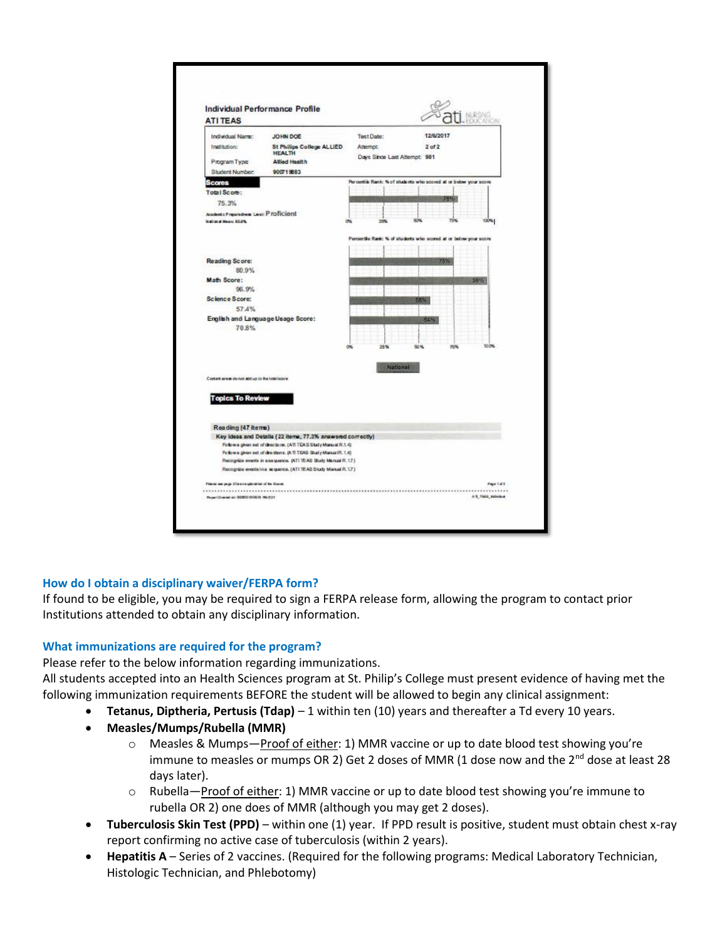

# **How do I obtain a disciplinary waiver/FERPA form?**

If found to be eligible, you may be required to sign a FERPA release form, allowing the program to contact prior Institutions attended to obtain any disciplinary information.

# **What immunizations are required for the program?**

Please refer to the below information regarding immunizations.

All students accepted into an Health Sciences program at St. Philip's College must present evidence of having met the following immunization requirements BEFORE the student will be allowed to begin any clinical assignment:

- **Tetanus, Diptheria, Pertusis (Tdap)** 1 within ten (10) years and thereafter a Td every 10 years.
- **Measles/Mumps/Rubella (MMR)**
	- o Measles & Mumps—Proof of either: 1) MMR vaccine or up to date blood test showing you're immune to measles or mumps OR 2) Get 2 doses of MMR (1 dose now and the  $2^{nd}$  dose at least 28 days later).
	- $\circ$  Rubella—Proof of either: 1) MMR vaccine or up to date blood test showing you're immune to rubella OR 2) one does of MMR (although you may get 2 doses).
- **Tuberculosis Skin Test (PPD)** within one (1) year. If PPD result is positive, student must obtain chest x-ray report confirming no active case of tuberculosis (within 2 years).
- **Hepatitis A** Series of 2 vaccines. (Required for the following programs: Medical Laboratory Technician, Histologic Technician, and Phlebotomy)